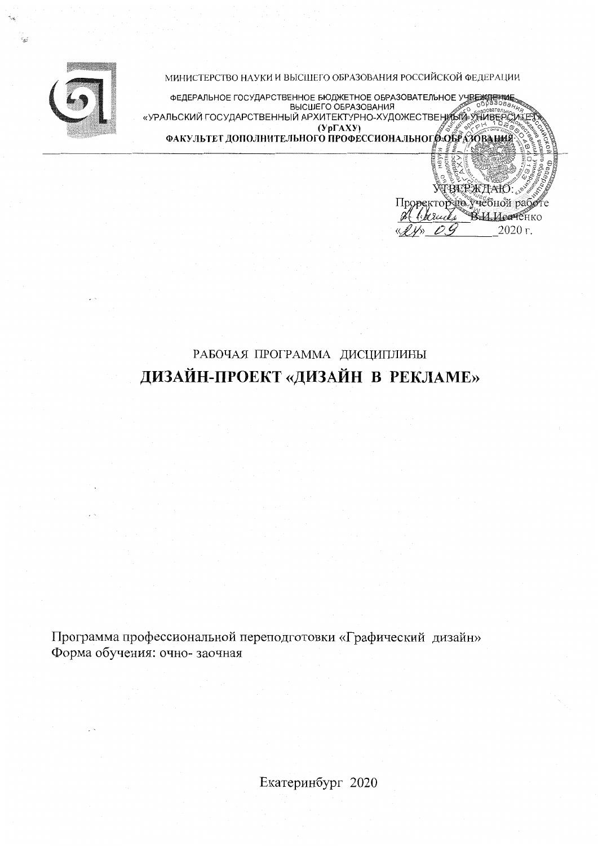

МИНИСТЕРСТВО НАУКИ И ВЫСШЕГО ОБРАЗОВАНИЯ РОССИЙСКОЙ ФЕДЕРАЦИИ

ФЕДЕРАЛЬНОЕ ГОСУДАРСТВЕННОЕ БЮДЖЕТНОЕ ОБРАЗОВАТЕЛЬНОЕ УЧРЕЖДЕРИЫ<br>ВЫСШЕГО ОБРАЗОВАНИЯ «УРАЛЬСКИЙ ГОСУДАРСТВЕННЫЙ АРХИТЕКТУРНО-ХУДОЖЕСТВЕНИЕЙ» УНИВЕРСИ  $(y<sub>p</sub>FAXY)$  ( $y<sub>p</sub>FAXY$ )<br>ФАКУЛЬТЕТ ДОПОЛНИТЕЛЬНОГО ПРОФЕССИОНАЛЬНОГО ОБРАЗОВАНИЙ

> VÍBEPЖHAIÓ. Проректор не учебной раб

> > В.И.Исаченко  $2020r$ .

1. bereichs

# РАБОЧАЯ ПРОГРАММА ДИСЦИПЛИНЫ ДИЗАЙН-ПРОЕКТ «ДИЗАЙН В РЕКЛАМЕ»

Программа профессиональной переподготовки «Графический дизайн» Форма обучения: очно-заочная

Екатеринбург 2020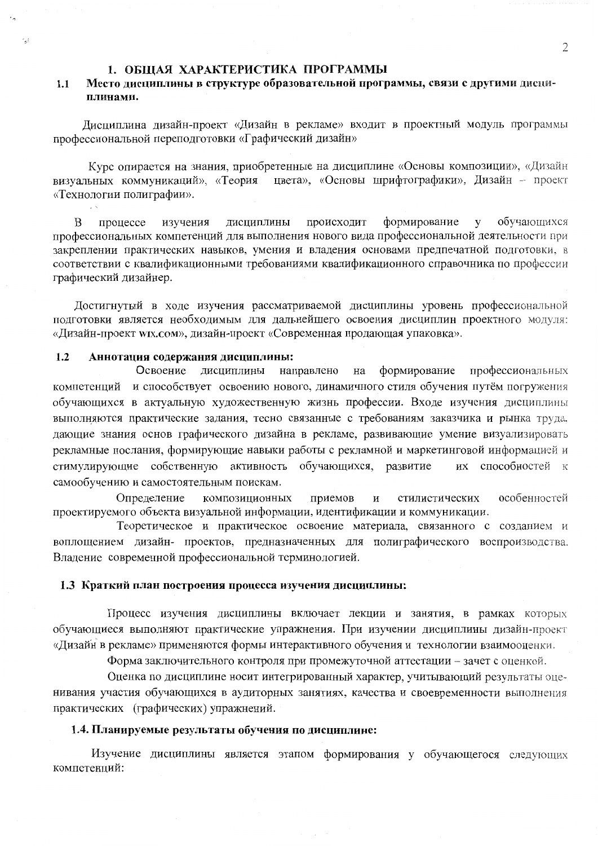### 1. ОБЩАЯ ХАРАКТЕРИСТИКА ПРОГРАММЫ

#### Место дисциплины в структуре образовательной программы, связи с другими дисци- $1.1$ плинами.

Дисциплина дизайн-проект «Дизайн в рекламе» входит в проектный модуль программы профессиональной переподготовки «Графический дизайн»

Курс опирается на знания, приобретенные на дисциплине «Основы композиции», «Дизайн визуальных коммуникаций», «Теория цвета», «Основы шрифтографики», Дизайн - проект «Технологии полиграфии».

формирование обучающихся дисциплины происходит  $V$ <sub>B</sub> процессе изучения профессиональных компетенций для выполнения нового вида профессиональной деятельности при закреплении практических навыков, умения и владения основами предпечатной подготовки, в соответствии с квалификационными требованиями квалификационного справочника по профессии графический дизайнер.

Достигнутый в ходе изучения рассматриваемой дисциплины уровень профессиональной полготовки является необходимым для дальнейшего освоения дисциплин проектного модуля: «Дизайн-проект wix.com», дизайн-проект «Современная продающая упаковка».

#### $1.2$ Аннотация содержания дисциплины:

ويه ا

 $\sqrt{N}$ 

направлено на формирование профессиональных Освоение дисциплины компетенций и способствует освоению нового, динамичного стиля обучения путём погружения обучающихся в актуальную художественную жизнь профессии. Входе изучения дисциплины выполняются практические задания, тесно связанные с требованиям заказчика и рынка труда, дающие знания основ графического дизайна в рекламе, развивающие умение визуализировать рекламные послания, формирующие навыки работы с рекламной и маркетинговой информацией и стимулирующие собственную активность обучающихся, развитие их способностей к самообучению и самостоятельным поискам.

Определение композиционных приемов  $\overline{\mathbf{M}}$ стилистических особенностей проектируемого объекта визуальной информации, идентификации и коммуникации.

Теоретическое и практическое освоение материала, связанного с созданием и воплощением дизайн- проектов, предназначенных для полиграфического воспроизводства. Владение современной профессиональной терминологией.

# 1.3 Краткий план построения процесса изучения дисциплины:

Процесс изучения дисциплины включает лекции и занятия, в рамках которых обучающиеся выполняют практические упражнения. При изучении дисциплины дизайн-проект «Дизайн в рекламе» применяются формы интерактивного обучения и технологии взаимооценки.

Форма заключительного контроля при промежуточной аттестации - зачет с оценкой.

Оценка по дисциплине носит интегрированный характер, учитывающий результаты оценивания участия обучающихся в аудиторных занятиях, качества и своевременности выполнения практических (графических) упражнений.

### 1.4. Планируемые результаты обучения по дисциплине:

Изучение дисциплины является этапом формирования у обучающегося следующих компетенций: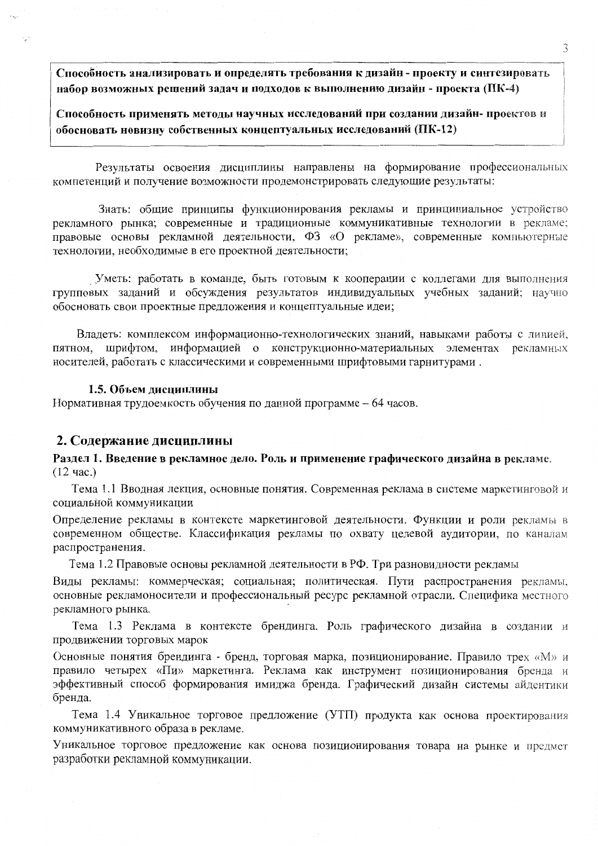Способность анализировать и определять требования к дизайн - проекту и синтезировать набор возможных решений задач и подходов к выполнению дизайн - проекта (ПК-4)

Способность применять методы научных исследований при создании дизайн- проектов и обосновать новизну собственных концептуальных исследований (ПК-12)

Результаты освоения дисциплины направлены на формирование профессиональных компетенций и получение возможности продемонстрировать следующие результаты:

Знать: общие принципы функционирования рекламы и принципиальное устройство рекламного рынка; современные и традиционные коммуникативные технологии в рекламе; правовые основы рекламной деятельности, ФЗ «О рекламе», современные компьютерные технологии, необходимые в его проектной деятельности;

Уметь: работать в команде, быть готовым к кооперации с коллегами для выполнения групповых заданий и обсуждения результатов индивидуальных учебных заданий; научно обосновать свои проектные предложения и концептуальные идеи;

Владеть: комплексом информационно-технологических знаний, навыками работы с линией, пятном, шрифтом, информацией о конструкционно-материальных элементах рекламных носителей, работать с классическими и современными шрифтовыми гарнитурами.

### 1.5. Объем дисциплины

Нормативная трудоемкость обучения по данной программе - 64 часов.

## 2. Содержание дисциплины

Раздел 1. Введение в рекламное дело. Роль и применение графического дизайна в рекламе.  $(12 \text{ vac.})$ 

Тема 1.1 Вводная лекция, основные понятия. Современная реклама в системе маркетинговой и социальной коммуникации

Определение рекламы в контексте маркетинговой деятельности. Функции и роли рекламы в современном обществе. Классификация рекламы по охвату целевой аудитории, по каналам распространения.

Тема 1.2 Правовые основы рекламной деятельности в РФ. Три разновидности рекламы

Виды рекламы: коммерческая; социальная; политическая. Пути распространения рекламы, основные рекламоносители и профессиональный ресурс рекламной отрасли. Специфика местного рекламного рынка.

Тема 1.3 Реклама в контексте брендинга. Роль графического дизайна в создании и продвижении торговых марок

Основные понятия брендинга - бренд, торговая марка, позиционирование. Правило трех «М» и правило четырех «Пи» маркетинга. Реклама как инструмент позиционирования бренда и эффективный способ формирования имиджа бренда. Графический дизайн системы айдентики бренда.

Тема 1.4 Уникальное торговое предложение (УТП) продукта как основа проектирования коммуникативного образа в рекламе.

Уникальное торговое предложение как основа позиционирования товара на рынке и предмет разработки рекламной коммуникации.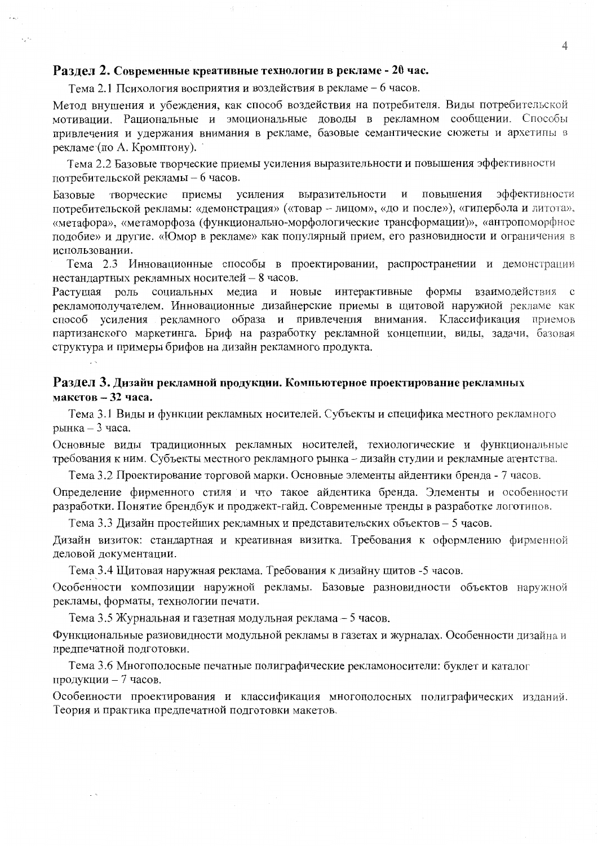# Разлел 2. Современные креативные технологии в рекламе - 20 час.

Тема 2.1 Психология восприятия и воздействия в рекламе - 6 часов.

Метод внушения и убеждения, как способ воздействия на потребителя. Виды потребительской мотивации. Рациональные и эмоциональные доводы в рекламном сообщении. Способы привлечения и удержания внимания в рекламе, базовые семантические сюжеты и архетипы в рекламе (по А. Кромптону).

Тема 2.2 Базовые творческие приемы усиления выразительности и повышения эффективности потребительской рекламы - 6 часов.

эффективности выразительности и повышения творческие приемы усиления Базовые потребительской рекламы: «демонстрация» («товар - лицом», «до и после»), «гипербола и литота», «метафора», «метаморфоза (функционально-морфологические трансформации)», «антропоморфное подобие» и другие. «Юмор в рекламе» как популярный прием, его разновидности и ограничения в использовании.

Тема 2.3 Инновационные способы в проектировании, распространении и демонстрации нестандартных рекламных носителей - 8 часов.

Растущая роль социальных медиа и новые интерактивные формы взаимодействия с рекламополучателем. Инновационные дизайнерские приемы в щитовой наружной рекламе как способ усиления рекламного образа и привлечения внимания. Классификация приемов партизанского маркетинга. Бриф на разработку рекламной концепции, виды, задачи, базовая структура и примеры брифов на дизайн рекламного продукта.

# Раздел 3. Дизайн рекламной продукции. Компьютерное проектирование рекламных макетов  $-32$  часа.

Тема 3.1 Виды и функции рекламных носителей. Субъекты и специфика местного рекламного рынка  $-3$  часа.

Основные виды традиционных рекламных носителей, технологические и функциональные требования к ним. Субъекты местного рекламного рынка - дизайн студии и рекламные агентства.

Тема 3.2 Проектирование торговой марки. Основные элементы айдентики бренда - 7 часов. Определение фирменного стиля и что такое айдентика бренда. Элементы и особенности разработки. Понятие брендбук и проджект-гайд. Современные тренды в разработке логотипов.

Тема 3.3 Дизайн простейших рекламных и представительских объектов - 5 часов.

Дизайн визиток: стандартная и креативная визитка. Требования к оформлению фирменной деловой документации.

Тема 3.4 Щитовая наружная реклама. Требования к дизайну щитов -5 часов.

Особенности композиции наружной рекламы. Базовые разновидности объектов наружной рекламы, форматы, технологии печати.

Тема 3.5 Журнальная и газетная модульная реклама - 5 часов.

Функциональные разновидности модульной рекламы в газетах и журналах. Особенности дизайна и предпечатной подготовки.

Тема 3.6 Многополосные печатные полиграфические рекламоносители: буклет и каталог продукции - 7 часов.

Особенности проектирования и классификация многополосных полиграфических изданий. Теория и практика предпечатной подготовки макетов.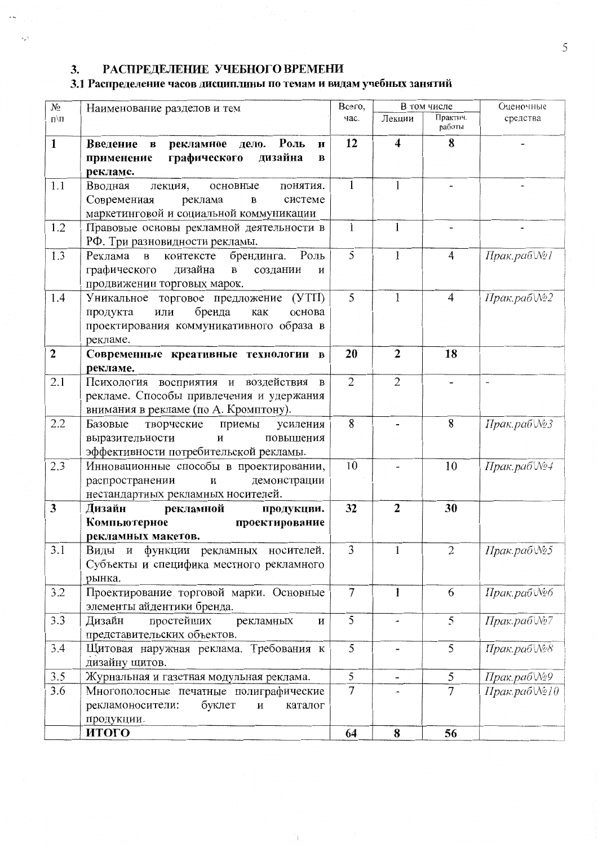#### РАСПРЕДЕЛЕНИЕ УЧЕБНОГО ВРЕМЕНИ  $3.$

 $\ddot{\phantom{1}}$ 

 $\sim$ 

# 3.1 Распределение часов дисциплины по темам и видам учебных занятий

| $N_2$        | Наименование разделов и тем                                                                                                                 | Всего,            | В том числе             |                    | Оценочные                |
|--------------|---------------------------------------------------------------------------------------------------------------------------------------------|-------------------|-------------------------|--------------------|--------------------------|
| $\Pi/\Pi$    |                                                                                                                                             | час.              | Лекции                  | Практич.<br>работы | средства                 |
| 1            | Роль<br>Введение в<br>рекламное<br>дело.<br>и<br>графического<br>дизайна<br>применение<br>B<br>рекламе.                                     | 12                | $\overline{\mathbf{4}}$ | 8                  |                          |
| 1.1          | Вводная<br>лекция,<br>основные<br>понятия.<br>Современная<br>системе<br>реклама<br>B<br>маркетинговой и социальной коммуникации             | 1                 | $\mathbf{1}$            |                    |                          |
| 1.2          | Правовые основы рекламной деятельности в<br>РФ. Три разновидности рекламы.                                                                  | $\mathbf{1}$      | $\mathbf{1}$            |                    |                          |
| 1.3          | Роль<br>Реклама в<br>брендинга.<br>контексте<br>графического дизайна<br>$\, {\bf B}$<br>создании<br>и<br>продвижении торговых марок.        | 5                 | $\mathbf{1}$            | $\overline{4}$     | Прак.раб№1               |
| 1.4          | Уникальное торговое предложение (УТП)<br>бренда<br>или<br>как<br>основа<br>продукта<br>проектирования коммуникативного образа в<br>рекламе. | 5                 | $\mathbf{1}$            | $\overline{4}$     | Прак.раб $N_2$           |
| $\mathbf{2}$ | Современные креативные технологии в<br>рекламе.                                                                                             | 20                | $\overline{2}$          | 18                 |                          |
| 2.1          | Психология восприятия и воздействия в<br>рекламе. Способы привлечения и удержания<br>внимания в рекламе (по А. Кромптону).                  | $\overline{2}$    | $\overline{2}$          |                    | $\overline{\phantom{a}}$ |
| 2.2          | Базовые<br>творческие<br>приемы<br>усиления<br>$\,$ $\,$ $\,$<br>повышения<br>выразительности<br>эффективности потребительской рекламы.     | 8                 |                         | 8                  | Прак.раб∖№3              |
| 2.3          | Инновационные способы в проектировании,<br>распространении<br>$\mathbf H$<br>демонстрации<br>нестандартных рекламных носителей.             | 10                |                         | 10                 | Прак.раб∖№4              |
| 3            | Дизайн<br>рекламной<br>продукции.<br>Компьютерное<br>проектирование<br>рекламных макетов.                                                   | 32                | $\overline{2}$          | 30                 |                          |
| 3.1          | Виды и функции рекламных носителей.<br>Субъекты и специфика местного рекламного<br>рынка.                                                   | 3                 |                         | 2                  | Прак.раб№5               |
| 3.2          | Проектирование торговой марки. Основные<br>элементы айдентики бренда.                                                                       |                   | 1                       | 6                  | Прак.раб∖№6              |
| 3.3          | Дизайн<br>простейших<br>рекламных<br>И<br>представительских объектов.                                                                       |                   |                         | 5                  | Прак.раб№7               |
| 3.4          | Щитовая наружная реклама. Требования к<br>дизайну щитов.                                                                                    |                   |                         | 5                  | Прак.раб∖№8              |
| 3.5          | Журнальная и газетная модульная реклама.                                                                                                    | 5                 | $\blacksquare$          | 5                  | Прак.раб№9               |
| 3.6          | Многополосные печатные полиграфические<br>буклет<br>рекламоносители:<br>$\, {\bf N}$<br>каталог<br>продукции.                               | $\overline{\tau}$ |                         | $\overline{7}$     | Прак.раб∖№10             |
|              | итого                                                                                                                                       | 64                | 8                       | 56                 |                          |

 $\mathbb{L}$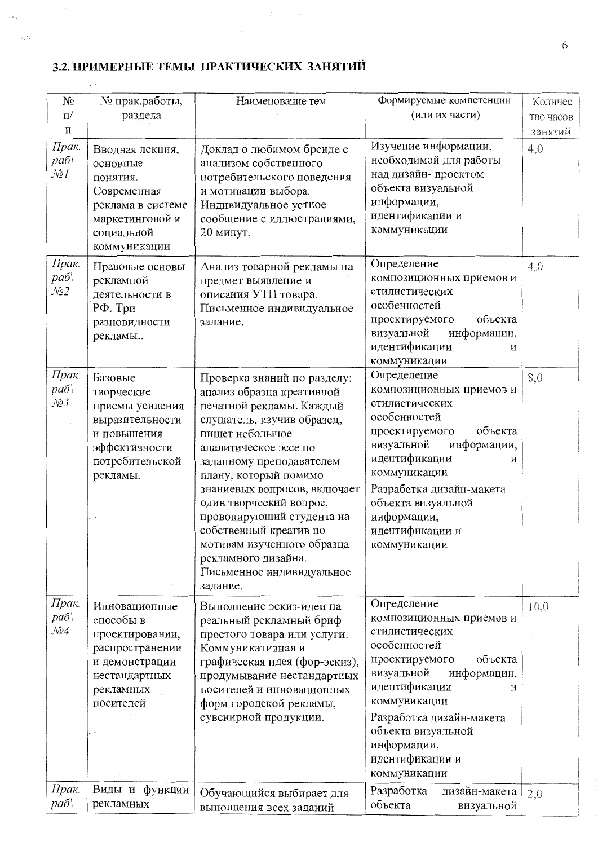# 3.2. ПРИМЕРНЫЕ ТЕМЫ ПРАКТИЧЕСКИХ ЗАНЯТИЙ

 $\sim$   $\omega_{\rm g}$ 

 $\sim 10^4$ 

 $\mathcal{L}^{\mathcal{L}}(\mathcal{L}^{\mathcal{L}}(\mathcal{L}^{\mathcal{L}}(\mathcal{L}^{\mathcal{L}}(\mathcal{L}^{\mathcal{L}}(\mathcal{L}^{\mathcal{L}}(\mathcal{L}^{\mathcal{L}}(\mathcal{L}^{\mathcal{L}}(\mathcal{L}^{\mathcal{L}}(\mathcal{L}^{\mathcal{L}}(\mathcal{L}^{\mathcal{L}}(\mathcal{L}^{\mathcal{L}}(\mathcal{L}^{\mathcal{L}}(\mathcal{L}^{\mathcal{L}}(\mathcal{L}^{\mathcal{L}}(\mathcal{L}^{\mathcal{L}}(\mathcal{L}^{\mathcal{L$ 

| N <sub>2</sub>                                      | № прак.работы,                                                                                                                | Наименование тем                                                                                                                                                                                                                                                                                                                                                                                                                    | Формируемые компетенции                                                                                                                                                                                                                                                       | Количес   |
|-----------------------------------------------------|-------------------------------------------------------------------------------------------------------------------------------|-------------------------------------------------------------------------------------------------------------------------------------------------------------------------------------------------------------------------------------------------------------------------------------------------------------------------------------------------------------------------------------------------------------------------------------|-------------------------------------------------------------------------------------------------------------------------------------------------------------------------------------------------------------------------------------------------------------------------------|-----------|
| $\Pi$ /                                             | раздела                                                                                                                       | (или их части)                                                                                                                                                                                                                                                                                                                                                                                                                      |                                                                                                                                                                                                                                                                               | тво часов |
| П                                                   |                                                                                                                               |                                                                                                                                                                                                                                                                                                                                                                                                                                     |                                                                                                                                                                                                                                                                               | занятий   |
| Прак.<br>pa6<br>$\mathcal{N}$ ol                    | Вводная лекция,<br>основные<br>понятия.<br>Современная<br>реклама в системе<br>маркетинговой и<br>социальной<br>коммуникации  | Доклад о любимом бренде с<br>анализом собственного<br>потребительского поведения<br>и мотивации выбора.<br>Индивидуальное устное<br>сообщение с иллюстрациями,<br>20 минут.                                                                                                                                                                                                                                                         | Изучение информации,<br>необходимой для работы<br>над дизайн-проектом<br>объекта визуальной<br>информации,<br>идентификации и<br>коммуникации                                                                                                                                 | 4,0       |
| Прак.<br>pa6<br>$\mathcal{N}2$                      | Правовые основы<br>рекламной<br>деятельности в<br>РФ. Три<br>разновидности<br>рекламы                                         | Анализ товарной рекламы на<br>предмет выявление и<br>описания УТП товара.<br>Письменное индивидуальное<br>задание.                                                                                                                                                                                                                                                                                                                  | Определение<br>композиционных приемов и<br>стилистических<br>особенностей<br>объекта<br>проектируемого<br>визуальной<br>информации,<br>идентификации<br>и<br>коммуникации                                                                                                     | 4,0       |
| Прак.<br>pa6<br>$\mathcal{N}\!\!\mathit{23}$        | Базовые<br>творческие<br>приемы усиления<br>выразительности<br>и повышения<br>эффективности<br>потребительской<br>рекламы.    | Проверка знаний по разделу:<br>анализ образца креативной<br>печатной рекламы. Каждый<br>слушатель, изучив образец,<br>пишет небольшое<br>аналитическое эссе по<br>заданному преподавателем<br>плану, который помимо<br>знаниевых вопросов, включает<br>один творческий вопрос,<br>провоцирующий студента на<br>собственный креатив по<br>мотивам изученного образца<br>рекламного дизайна.<br>Письменное индивидуальное<br>задание. | Определение<br>композиционных приемов и<br>стилистических<br>особенностей<br>объекта<br>проектируемого<br>визуальной<br>информации,<br>идентификации<br>И<br>коммуникации<br>Разработка дизайн-макета<br>объекта визуальной<br>информации,<br>идентификации и<br>коммуникации | 8,0       |
| Прак.<br>pa6<br>$\mathcal{N}\!\!\varrho\mathcal{A}$ | Инновационные<br>способы в<br>проектировании,<br>распространении<br>и демонстрации<br>нестандартных<br>рекламных<br>носителей | Выполнение эскиз-идеи на<br>реальный рекламный бриф<br>простого товара или услуги.<br>Коммуникативная и<br>графическая идея (фор-эскиз),<br>продумывание нестандартных<br>носителей и инновационных<br>форм городской рекламы,<br>сувенирной продукции.                                                                                                                                                                             | Определение<br>композиционных приемов и<br>стилистических<br>особенностей<br>объекта<br>проектируемого<br>визуальной<br>информации,<br>идентификации<br>И<br>коммуникации<br>Разработка дизайн-макета<br>объекта визуальной<br>информации,<br>идентификации и<br>коммуникации | 10,0      |
| Прак.<br>pa6                                        | Виды и функции<br>рекламных                                                                                                   | Обучающийся выбирает для<br>выполнения всех заданий                                                                                                                                                                                                                                                                                                                                                                                 | Разработка<br>дизайн-макета<br>объекта<br>визуальной                                                                                                                                                                                                                          | 2,0       |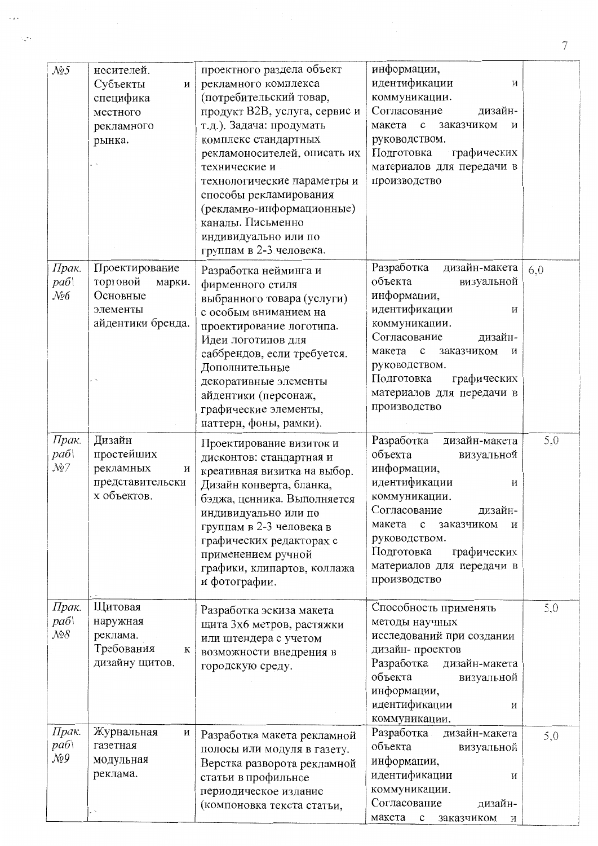| N <sub>2</sub> 5                                                | носителей.<br>Субъекты<br>И<br>специфика<br>местного<br>рекламного<br>рынка.      | проектного раздела объект<br>рекламного комплекса<br>(потребительский товар,<br>продукт В2В, услуга, сервис и<br>т.д.). Задача: продумать<br>комплекс стандартных<br>рекламоносителей, описать их<br>технические и<br>технологические параметры и<br>способы рекламирования<br>(рекламно-информационные)<br>каналы. Письменно<br>индивидуально или по<br>группам в 2-3 человека. | информации,<br>идентификации<br>И<br>коммуникации.<br>Согласование<br>дизайн-<br>заказчиком<br>макета<br>$\mathbf c$<br>и<br>руководством.<br>Подготовка<br>графических<br>материалов для передачи в<br>производство                                                          |     |
|-----------------------------------------------------------------|-----------------------------------------------------------------------------------|----------------------------------------------------------------------------------------------------------------------------------------------------------------------------------------------------------------------------------------------------------------------------------------------------------------------------------------------------------------------------------|-------------------------------------------------------------------------------------------------------------------------------------------------------------------------------------------------------------------------------------------------------------------------------|-----|
| Прак.<br>pa6<br>$\mathcal{N}\!\mathit{\!\mathit{o}}\mathcal{6}$ | Проектирование<br>торговой<br>марки.<br>Основные<br>элементы<br>айдентики бренда. | Разработка нейминга и<br>фирменного стиля<br>выбранного товара (услуги)<br>с особым вниманием на<br>проектирование логотипа.<br>Идеи логотипов для<br>саббрендов, если требуется.<br>Дополнительные<br>декоративные элементы<br>айдентики (персонаж,<br>графические элементы,<br>паттерн, фоны, рамки).                                                                          | Разработка<br>дизайн-макета<br>объекта<br>визуальной<br>информации,<br>идентификации<br>И<br>коммуникации.<br>Согласование<br>дизайн-<br>макета<br>$\mathbf{c}$<br>заказчиком<br>И<br>руководством.<br>Подготовка<br>графических<br>материалов для передачи в<br>производство | 6,0 |
| Прак.<br>pa6<br>$\mathcal{N}$ 27                                | Дизайн<br>простейших<br>рекламных<br>И<br>представительски<br>х объектов.         | Проектирование визиток и<br>дисконтов: стандартная и<br>креативная визитка на выбор.<br>Дизайн конверта, бланка,<br>бэджа, ценника. Выполняется<br>индивидуально или по<br>группам в 2-3 человека в<br>графических редакторах с<br>применением ручной<br>графики, клипартов, коллажа<br>и фотографии.                                                                            | Разработка<br>дизайн-макета<br>объекта<br>визуальной<br>информации,<br>идентификации<br>И<br>коммуникации.<br>Согласование<br>дизайн-<br>макета<br>$\mathbf{c}$<br>заказчиком<br>и<br>руководством.<br>Подготовка<br>графических<br>материалов для передачи в<br>производство | 5,0 |
| Прак.<br>раб\<br>$N_28$                                         | Щитовая<br>наружная<br>реклама.<br>Требования<br>К<br>дизайну щитов.              | Разработка эскиза макета<br>щита 3х6 метров, растяжки<br>или штендера с учетом<br>возможности внедрения в<br>городскую среду.                                                                                                                                                                                                                                                    | Способность применять<br>методы научных<br>исследований при создании<br>дизайн-проектов<br>Разработка<br>дизайн-макета<br>объекта<br>визуальной<br>информации,<br>идентификации<br>И<br>коммуникации.                                                                         | 5,0 |
| Прак.<br>pa6<br>$\mathcal{N}\!\mathit{29}$                      | Журнальная<br>И<br>газетная<br>модульная<br>реклама.                              | Разработка макета рекламной<br>полосы или модуля в газету.<br>Верстка разворота рекламной<br>статьи в профильное<br>периодическое издание<br>(компоновка текста статьи,                                                                                                                                                                                                          | Разработка<br>дизайн-макета<br>объекта<br>визуальной<br>информации,<br>идентификации<br>И<br>коммуникации.<br>Согласование<br>дизайн-<br>макета с заказчиком и                                                                                                                | 5,0 |

 $\overline{\mathcal{I}}$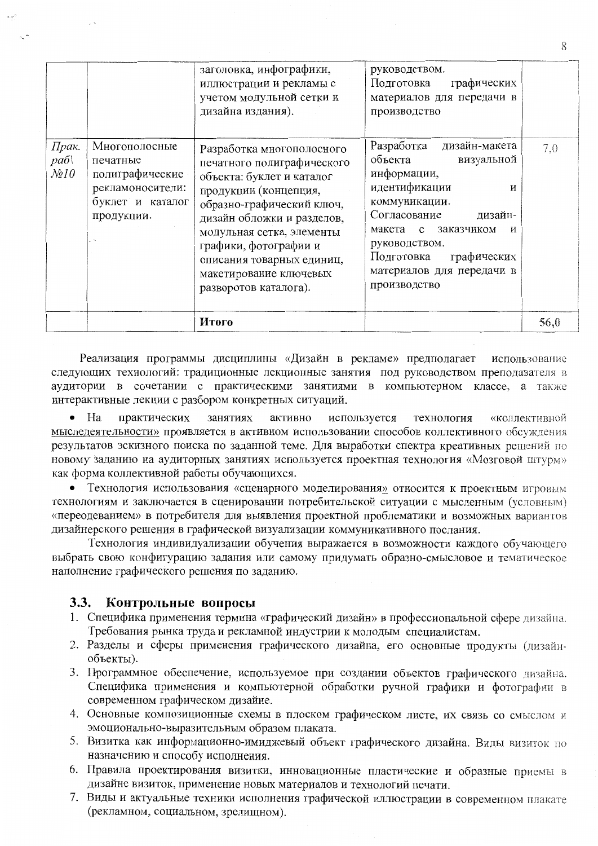|                                   |                                                                                                    | заголовка, инфографики,<br>иллюстрации и рекламы с<br>учетом модульной сетки и<br>дизайна издания).                                                                                                                                                                                                            | руководством.<br>Подготовка<br>графических<br>материалов для передачи в<br>производство                                                                                                                                                                                    |      |
|-----------------------------------|----------------------------------------------------------------------------------------------------|----------------------------------------------------------------------------------------------------------------------------------------------------------------------------------------------------------------------------------------------------------------------------------------------------------------|----------------------------------------------------------------------------------------------------------------------------------------------------------------------------------------------------------------------------------------------------------------------------|------|
| Прак.<br>pa6<br>$\mathcal{N}$ 210 | Многополосные<br>печатные<br>полиграфические<br>рекламоносители:<br>буклет и каталог<br>продукции. | Разработка многополосного<br>печатного полиграфического<br>объекта: буклет и каталог<br>продукции (концепция,<br>образно-графический ключ,<br>дизайн обложки и разделов,<br>модульная сетка, элементы<br>графики, фотографии и<br>описания товарных единиц,<br>макетирование ключевых<br>разворотов каталога). | Разработка дизайн-макета<br>объекта<br>визуальной<br>информации,<br>идентификации<br>И<br>коммуникации.<br>Согласование<br>дизайн-<br>$\mathbf{c}$<br>заказчиком<br>макета<br>И<br>руководством.<br>Подготовка<br>графических<br>материалов для передачи в<br>производство | 7.0  |
|                                   |                                                                                                    | Итого                                                                                                                                                                                                                                                                                                          |                                                                                                                                                                                                                                                                            | 56,0 |

Реализация программы дисциплины «Дизайн в рекламе» предполагает использование следующих технологий: традиционные лекционные занятия под руководством преподавателя в аудитории в сочетании с практическими занятиями в компьютерном классе, а также интерактивные лекции с разбором конкретных ситуаций.

 $\bullet$  Ha практических занятиях активно используется технология «коллективной мыследеятельности» проявляется в активном использовании способов коллективного обсуждения результатов эскизного поиска по заданной теме. Для выработки спектра креативных решений по новому заданию на аудиторных занятиях используется проектная технология «Мозговой штурм» как форма коллективной работы обучающихся.

• Технология использования «сценарного моделирования» относится к проектным игровым технологиям и заключается в сценировании потребительской ситуации с мысленным (условным) «переодеванием» в потребителя для выявления проектной проблематики и возможных вариантов дизайнерского решения в графической визуализации коммуникативного послания.

Технология индивидуализации обучения выражается в возможности каждого обучающего выбрать свою конфигурацию задания или самому придумать образно-смысловое и тематическое наполнение графического решения по заданию.

#### $3.3.$ Контрольные вопросы

- 1. Специфика применения термина «графический дизайн» в профессиональной сфере дизайна. Требования рынка труда и рекламной индустрии к молодым специалистам.
- 2. Разделы и сферы применения графического дизайна, его основные продукты (дизайнобъекты).
- 3. Программное обеспечение, используемое при создании объектов графического дизайна. Специфика применения и компьютерной обработки ручной графики и фотографии в современном графическом дизайне.
- 4. Основные композиционные схемы в плоском графическом листе, их связь со смыслом и эмоционально-выразительным образом плаката.
- 5. Визитка как информационно-имиджевый объект графического дизайна. Виды визиток по назначению и способу исполнения.
- 6. Правила проектирования визитки, инновационные пластические и образные приемы в дизайне визиток, применение новых материалов и технологий печати.
- 7. Виды и актуальные техники исполнения графической иллюстрации в современном плакате (рекламном, социальном, зрелищном).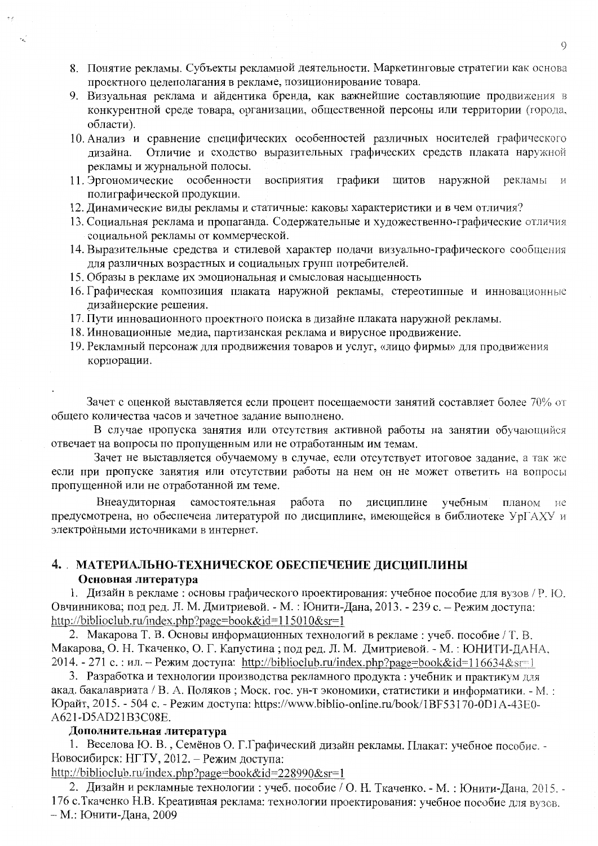- 8. Понятие рекламы. Субъекты рекламной деятельности. Маркетинговые стратегии как основа проектного целеполагания в рекламе, позиционирование товара.
- 9. Визуальная реклама и айдентика бренда, как важнейшие составляющие продвижения в конкурентной среде товара, организации, общественной персоны или территории (города, области).
- 10. Анализ и сравнение специфических особенностей различных носителей графического Отличие и сходство выразительных графических средств плаката наружной лизайна. рекламы и журнальной полосы.
- графики щитов наружной восприятия рекламы 11. Эргономические особенности  $\overline{M}$ полиграфической продукции.
- 12. Динамические виды рекламы и статичные: каковы характеристики и в чем отличия?
- 13. Социальная реклама и пропаганда. Содержательные и художественно-графические отличия социальной рекламы от коммерческой.
- 14. Выразительные средства и стилевой характер подачи визуально-графического сообщения для различных возрастных и социальных групп потребителей.
- 15. Образы в рекламе их эмоциональная и смысловая насыщенность
- 16. Графическая композиция плаката наружной рекламы, стереотипные и инновационные дизайнерские решения.
- 17. Пути инновационного проектного поиска в дизайне плаката наружной рекламы.
- 18. Инновационные медиа, партизанская реклама и вирусное продвижение.
- 19. Рекламный персонаж для продвижения товаров и услуг, «лицо фирмы» для продвижения корпорации.

Зачет с оценкой выставляется если процент посещаемости занятий составляет более 70% от общего количества часов и зачетное задание выполнено.

В случае пропуска занятия или отсутствия активной работы на занятии обучающийся отвечает на вопросы по пропущенным или не отработанным им темам.

Зачет не выставляется обучаемому в случае, если отсутствует итоговое задание, а так же если при пропуске занятия или отсутствии работы на нем он не может ответить на вопросы пропущенной или не отработанной им теме.

работа Внеаудиторная самостоятельная по дисциплине учебным планом не предусмотрена, но обеспечена литературой по дисциплине, имеющейся в библиотеке УрГАХУ и электронными источниками в интернет.

# 4. МАТЕРИАЛЬНО-ТЕХНИЧЕСКОЕ ОБЕСПЕЧЕНИЕ ДИСЦИПЛИНЫ Основная литература

1. Дизайн в рекламе: основы графического проектирования: учебное пособие для вузов / Р. Ю. Овчинникова; под ред. Л. М. Дмитриевой. - М. : Юнити-Дана, 2013. - 239 с. - Режим доступа: http://biblioclub.ru/index.php?page=book&id=115010&sr=1

2. Макарова Т. В. Основы информационных технологий в рекламе: учеб. пособие / Т. В. Макарова, О. Н. Ткаченко, О. Г. Капустина; под ред. Л. М. Дмитриевой. - М.: ЮНИТИ-ДАНА, 2014. - 271 с. : ил. – Режим доступа: http://biblioclub.ru/index.php?page=book&id=116634&sr=1

3. Разработка и технологии производства рекламного продукта: учебник и практикум для акад. бакалавриата / В. А. Поляков; Моск. гос. ун-т экономики, статистики и информатики. - М.: Юрайт, 2015. - 504 с. - Режим доступа: https://www.biblio-online.ru/book/1BF53170-0D1A-43E0-A621-D5AD21B3C08E.

### Дополнительная литература

1. Веселова Ю. В., Семёнов О. Г. Графический дизайн рекламы. Плакат: учебное пособие. -Новосибирск: НГТУ, 2012. – Режим доступа:

http://biblioclub.ru/index.php?page=book&id=228990&sr=1

2. Дизайн и рекламные технологии : учеб. пособие / О. Н. Ткаченко. - М. : Юнити-Дана, 2015. -176 с. Ткаченко Н.В. Креативная реклама: технологии проектирования: учебное пособие для вузов. - М.: Юнити-Дана, 2009